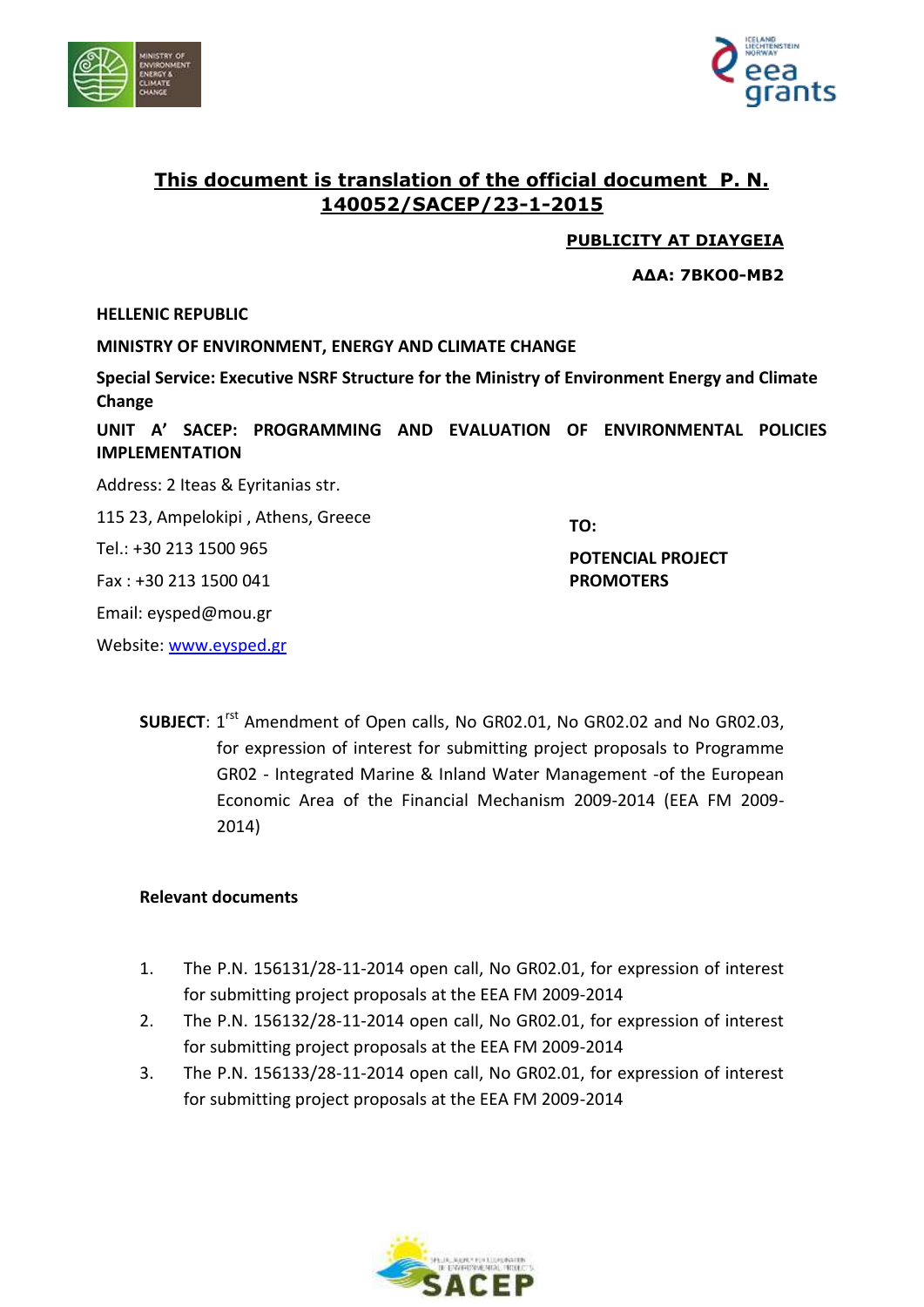



# **This document is translation of the official document P. N. 140052/SACEP/23-1-2015**

**PUBLICITY AT DIAYGEIA**

**ΑΔΑ: 7ΒΚΟ0-ΜΒ2**

#### **HELLENIC REPUBLIC**

**MINISTRY OF ENVIRONMENT, ENERGY AND CLIMATE CHANGE** 

**Special Service: Executive NSRF Structure for the Ministry of Environment Energy and Climate Change**

**UNIT Α' SACEP: PROGRAMMING AND EVALUATION OF ENVIRONMENTAL POLICIES IMPLEMENTATION**

Address: 2 Iteas & Eyritanias str. 115 23, Ampelokipi , Athens, Greece

Tel.: +30 213 1500 965

Fax : +30 213 1500 041

Email: eysped@mou.gr

Website: [www.eysped.gr](http://www.eysped.gr/)

**TO:**

**POTENCIAL PROJECT PROMOTERS** 

**SUBJECT:** 1<sup>rst</sup> Amendment of Open calls, No GR02.01, No GR02.02 and No GR02.03, for expression of interest for submitting project proposals to Programme GR02 - Integrated Marine & Inland Water Management -of the European Economic Area of the Financial Mechanism 2009-2014 (EEA FM 2009- 2014)

#### **Relevant documents**

- 1. The P.N. 156131/28-11-2014 open call, No GR02.01, for expression of interest for submitting project proposals at the EEA FM 2009-2014
- 2. The P.N. 156132/28-11-2014 open call, No GR02.01, for expression of interest for submitting project proposals at the EEA FM 2009-2014
- 3. The P.N. 156133/28-11-2014 open call, No GR02.01, for expression of interest for submitting project proposals at the EEA FM 2009-2014

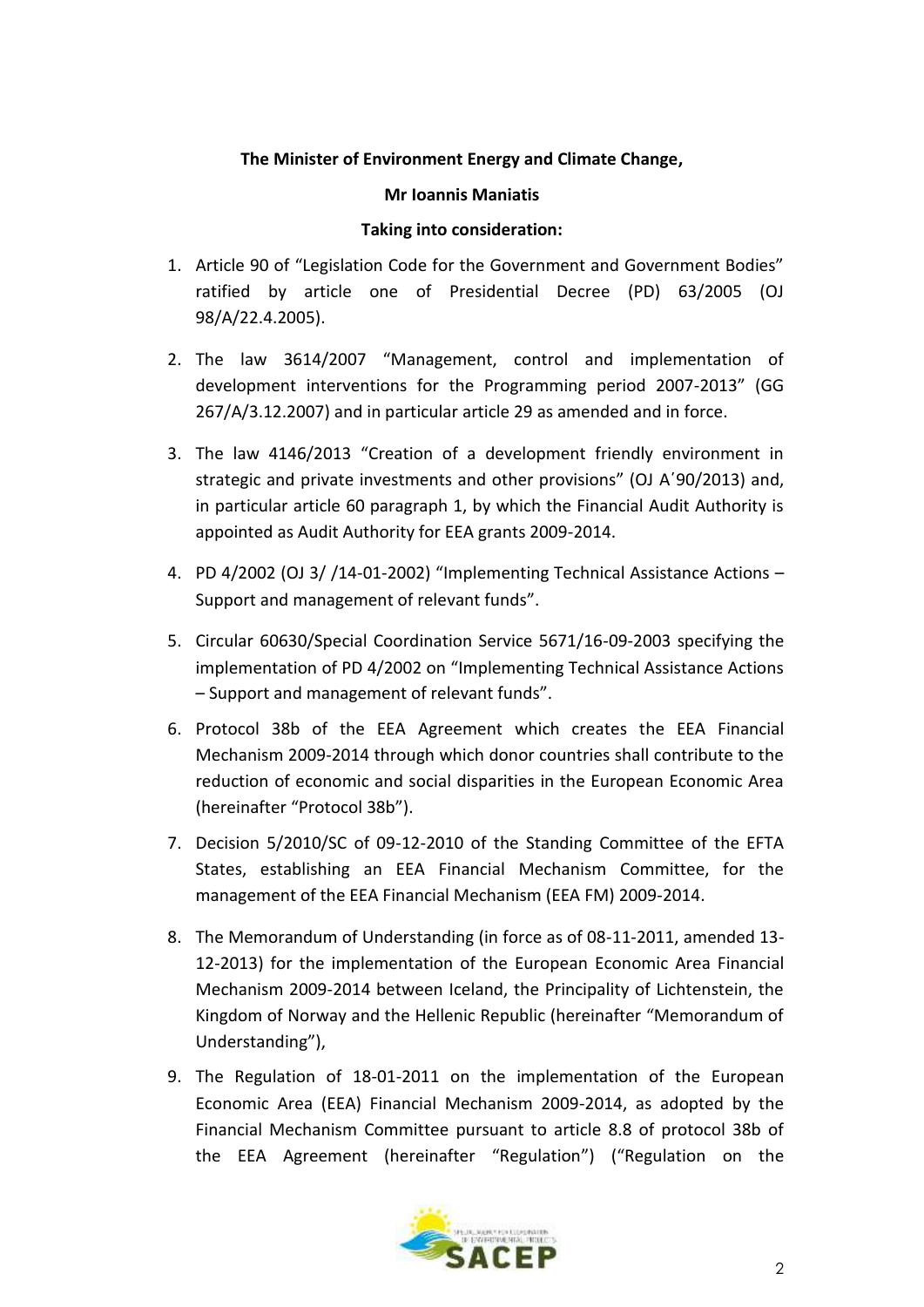# **The Minister of Environment Energy and Climate Change,**

#### **Mr Ioannis Maniatis**

### **Taking into consideration:**

- 1. Article 90 of "Legislation Code for the Government and Government Bodies" ratified by article one of Presidential Decree (PD) 63/2005 (OJ 98/Α/22.4.2005).
- 2. The law 3614/2007 "Management, control and implementation of development interventions for the Programming period 2007-2013" (GG 267/Α/3.12.2007) and in particular article 29 as amended and in force.
- 3. The law 4146/2013 "Creation of a development friendly environment in strategic and private investments and other provisions" (OJ A΄90/2013) and, in particular article 60 paragraph 1, by which the Financial Audit Authority is appointed as Audit Authority for EEA grants 2009-2014.
- 4. PD 4/2002 (OJ 3/ /14-01-2002) "Implementing Technical Assistance Actions Support and management of relevant funds".
- 5. Circular 60630/Special Coordination Service 5671/16-09-2003 specifying the implementation of PD 4/2002 on "Implementing Technical Assistance Actions – Support and management of relevant funds".
- 6. Protocol 38b of the EEA Agreement which creates the EEA Financial Mechanism 2009-2014 through which donor countries shall contribute to the reduction of economic and social disparities in the European Economic Area (hereinafter "Protocol 38b").
- 7. Decision 5/2010/SC of 09-12-2010 of the Standing Committee of the EFTA States, establishing an EEA Financial Mechanism Committee, for the management of the EEA Financial Mechanism (EEA FM) 2009-2014.
- 8. The Memorandum of Understanding (in force as of 08-11-2011, amended 13- 12-2013) for the implementation of the European Economic Area Financial Mechanism 2009-2014 between Iceland, the Principality of Lichtenstein, the Kingdom of Norway and the Hellenic Republic (hereinafter "Memorandum of Understanding"),
- 9. The Regulation of 18-01-2011 on the implementation of the European Economic Area (EEA) Financial Mechanism 2009-2014, as adopted by the Financial Mechanism Committee pursuant to article 8.8 of protocol 38b of the EEA Agreement (hereinafter "Regulation") ("Regulation on the

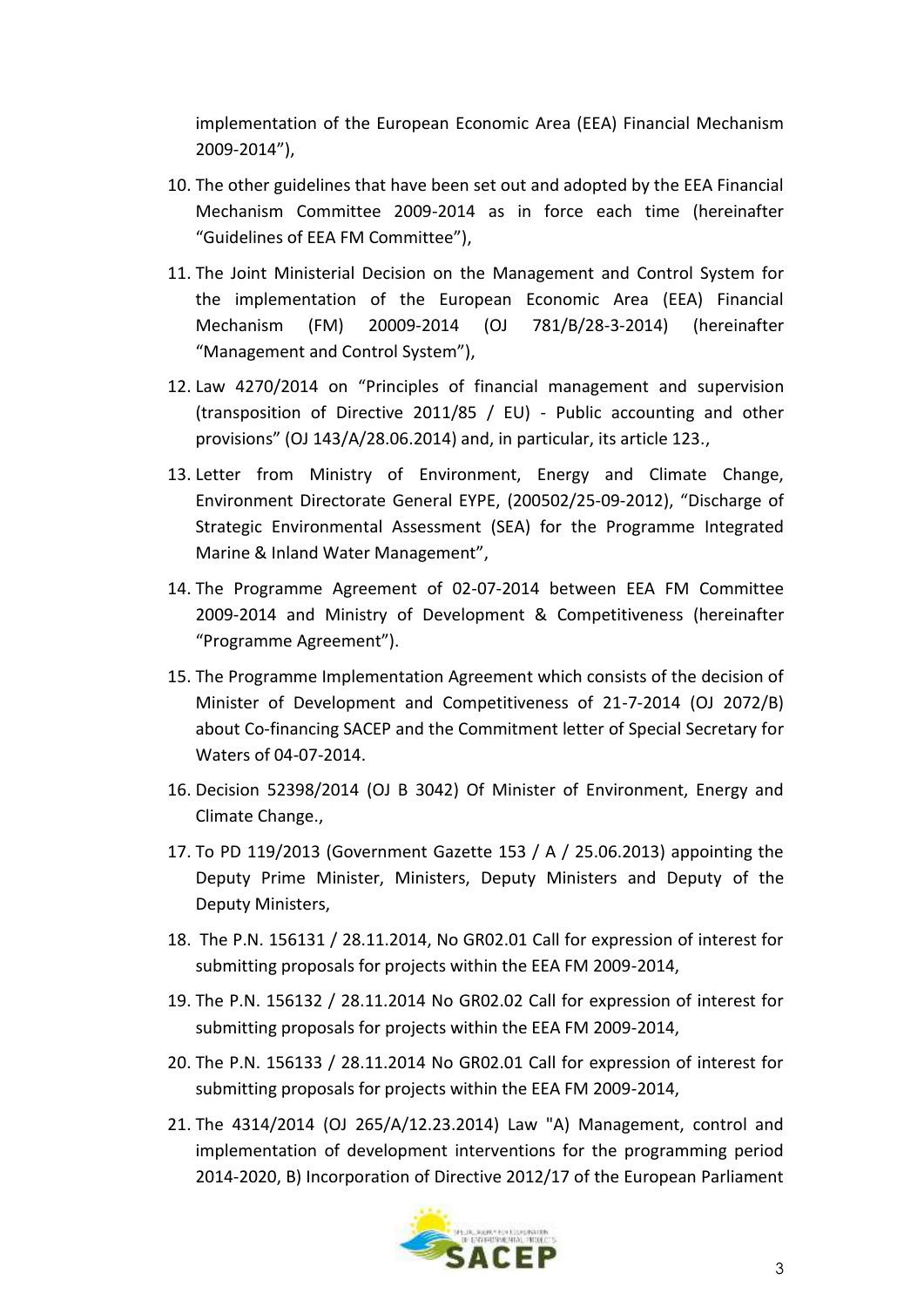implementation of the European Economic Area (EEA) Financial Mechanism 2009-2014"),

- 10. The other guidelines that have been set out and adopted by the EEA Financial Mechanism Committee 2009-2014 as in force each time (hereinafter "Guidelines of EEA FM Committee"),
- 11. The Joint Ministerial Decision on the Management and Control System for the implementation of the European Economic Area (EEA) Financial Mechanism (FM) 20009-2014 (OJ 781/B/28-3-2014) (hereinafter "Management and Control System"),
- 12. Law 4270/2014 on "Principles of financial management and supervision (transposition of Directive 2011/85 / EU) - Public accounting and other provisions" (OJ 143/A/28.06.2014) and, in particular, its article 123.,
- 13. Letter from Ministry of Environment, Energy and Climate Change, Environment Directorate General EYPE, (200502/25-09-2012), "Discharge of Strategic Environmental Assessment (SEA) for the Programme Integrated Marine & Inland Water Management",
- 14. The Programme Agreement of 02-07-2014 between EEA FM Committee 2009-2014 and Ministry of Development & Competitiveness (hereinafter "Programme Agreement").
- 15. The Programme Implementation Agreement which consists of the decision of Minister of Development and Competitiveness of 21-7-2014 (OJ 2072/B) about Co-financing SACEP and the Commitment letter of Special Secretary for Waters of 04-07-2014.
- 16. Decision 52398/2014 (OJ B 3042) Of Minister of Environment, Energy and Climate Change.,
- 17. To PD 119/2013 (Government Gazette 153 / A / 25.06.2013) appointing the Deputy Prime Minister, Ministers, Deputy Ministers and Deputy of the Deputy Ministers,
- 18. The P.N. 156131 / 28.11.2014, No GR02.01 Call for expression of interest for submitting proposals for projects within the EEA FM 2009-2014,
- 19. The P.N. 156132 / 28.11.2014 No GR02.02 Call for expression of interest for submitting proposals for projects within the EEA FM 2009-2014,
- 20. The P.N. 156133 / 28.11.2014 No GR02.01 Call for expression of interest for submitting proposals for projects within the EEA FM 2009-2014,
- 21. The 4314/2014 (OJ 265/A/12.23.2014) Law "A) Management, control and implementation of development interventions for the programming period 2014-2020, B) Incorporation of Directive 2012/17 of the European Parliament

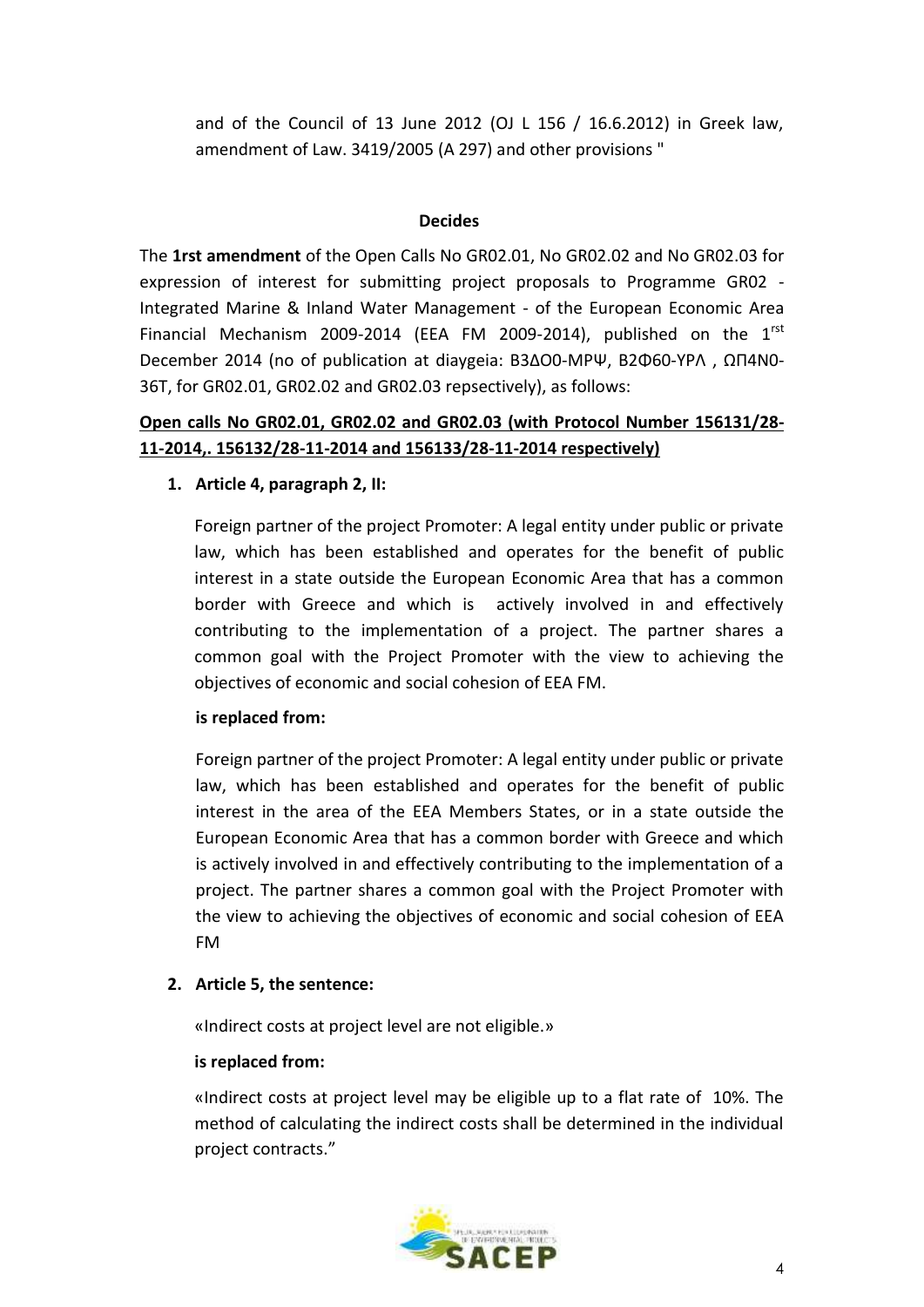and of the Council of 13 June 2012 (OJ L 156 / 16.6.2012) in Greek law, amendment of Law. 3419/2005 (A 297) and other provisions "

### **Decides**

The **1rst amendment** of the Open Calls Νο GR02.01, Νο GR02.02 and Νο GR02.03 for expression of interest for submitting project proposals to Programme GR02 - Integrated Marine & Inland Water Management - of the European Economic Area Financial Mechanism 2009-2014 (EEA FM 2009-2014), published on the  $1<sup>rst</sup>$ December 2014 (no of publication at diaygeia: Β3ΔΟ0-ΜΡΨ, Β2Φ60-ΥΡΛ , ΩΠ4Ν0- 36Τ, for GR02.01, GR02.02 and GR02.03 repsectively), as follows:

# **Open calls Νο GR02.01, GR02.02 and GR02.03 (with Protocol Number 156131/28- 11-2014,. 156132/28-11-2014 and 156133/28-11-2014 respectively)**

# **1. Article 4, paragraph 2, ΙΙ:**

Foreign partner of the project Promoter: A legal entity under public or private law, which has been established and operates for the benefit of public interest in a state outside the European Economic Area that has a common border with Greece and which is actively involved in and effectively contributing to the implementation of a project. The partner shares a common goal with the Project Promoter with the view to achieving the objectives of economic and social cohesion of EEA FM.

# **is replaced from:**

Foreign partner of the project Promoter: A legal entity under public or private law, which has been established and operates for the benefit of public interest in the area of the EEA Members States, or in a state outside the European Economic Area that has a common border with Greece and which is actively involved in and effectively contributing to the implementation of a project. The partner shares a common goal with the Project Promoter with the view to achieving the objectives of economic and social cohesion of EEA FM

# **2. Article 5, the sentence:**

«Indirect costs at project level are not eligible.»

#### **is replaced from:**

«Indirect costs at project level may be eligible up to a flat rate of 10%. The method of calculating the indirect costs shall be determined in the individual project contracts."

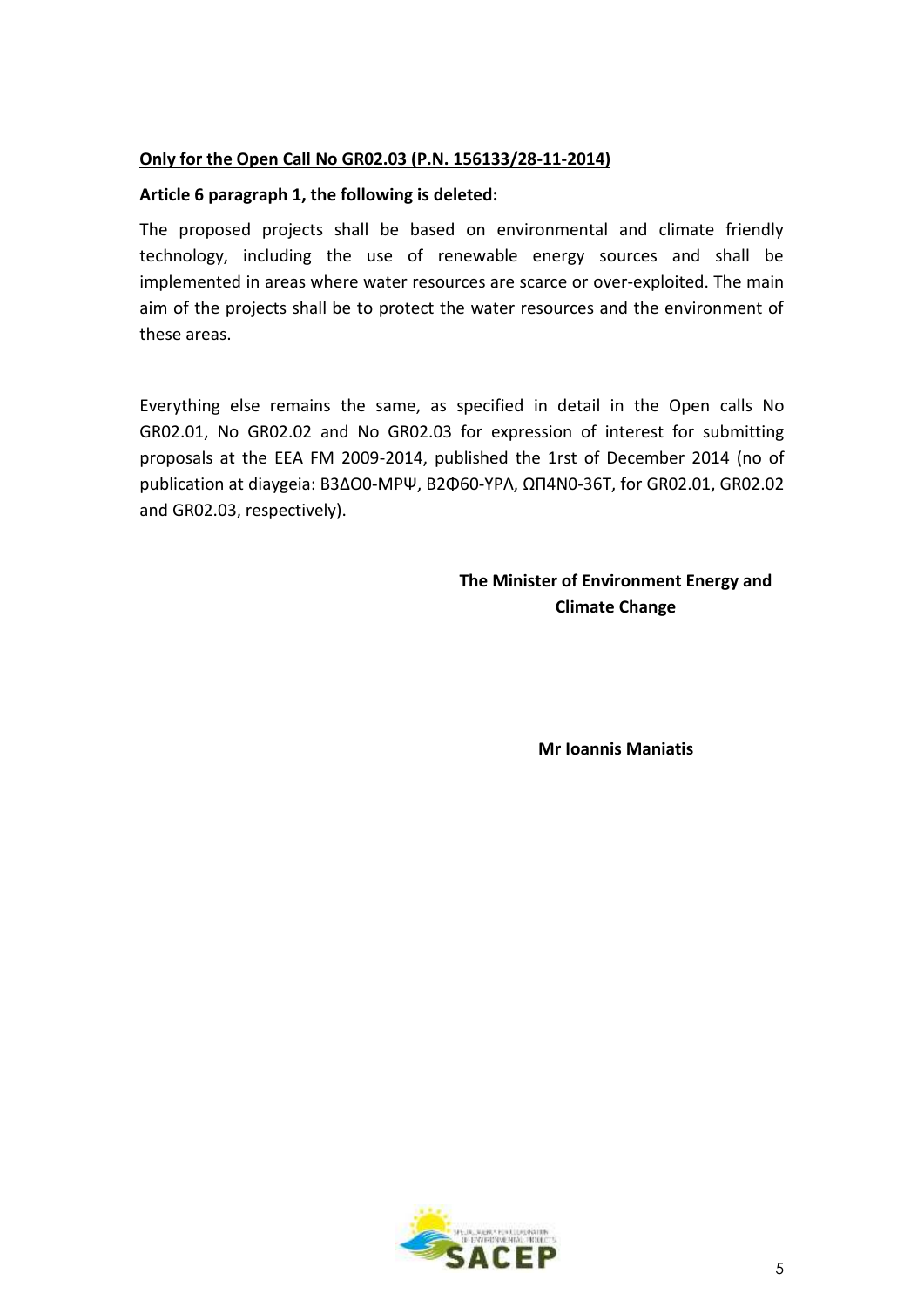# **Only for the Open Call Νο GR02.03 (P.N. 156133/28-11-2014)**

### **Article 6 paragraph 1, the following is deleted:**

The proposed projects shall be based on environmental and climate friendly technology, including the use of renewable energy sources and shall be implemented in areas where water resources are scarce or over-exploited. The main aim of the projects shall be to protect the water resources and the environment of these areas.

Everything else remains the same, as specified in detail in the Open calls Νο GR02.01, Νο GR02.02 and Νο GR02.03 for expression of interest for submitting proposals at the EEA FM 2009-2014, published the 1rst of December 2014 (no of publication at diaygeia: Β3ΔΟ0-ΜΡΨ, Β2Φ60-ΥΡΛ, ΩΠ4Ν0-36Τ, for GR02.01, GR02.02 and GR02.03, respectively).

# **The Minister of Environment Energy and Climate Change**

**Mr Ioannis Maniatis**